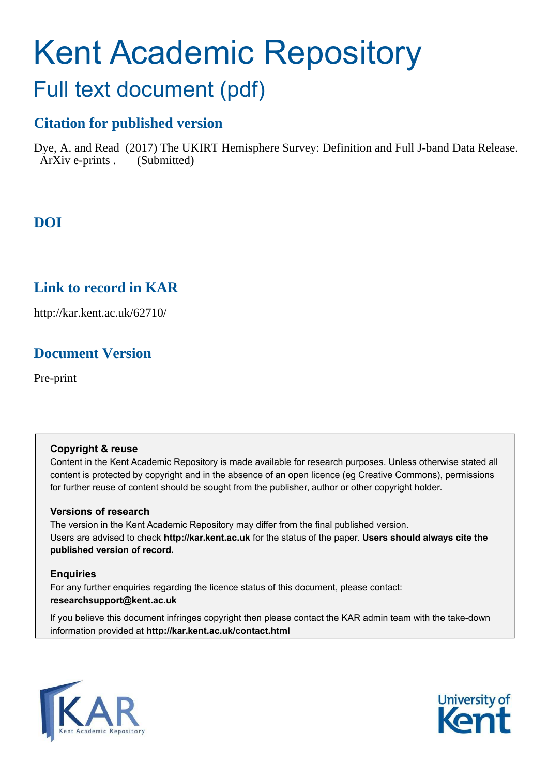# Kent Academic Repository

## Full text document (pdf)

## **Citation for published version**

Dye, A. and Read (2017) The UKIRT Hemisphere Survey: Definition and Full J-band Data Release. ArXiv e-prints . (Submitted)

## **DOI**

## **Link to record in KAR**

http://kar.kent.ac.uk/62710/

## **Document Version**

Pre-print

#### **Copyright & reuse**

Content in the Kent Academic Repository is made available for research purposes. Unless otherwise stated all content is protected by copyright and in the absence of an open licence (eg Creative Commons), permissions for further reuse of content should be sought from the publisher, author or other copyright holder.

#### **Versions of research**

The version in the Kent Academic Repository may differ from the final published version. Users are advised to check **http://kar.kent.ac.uk** for the status of the paper. **Users should always cite the published version of record.**

#### **Enquiries**

For any further enquiries regarding the licence status of this document, please contact: **researchsupport@kent.ac.uk**

<span id="page-0-0"></span>If you believe this document infringes copyright then please contact the KAR admin team with the take-down information provided at **http://kar.kent.ac.uk/contact.html**



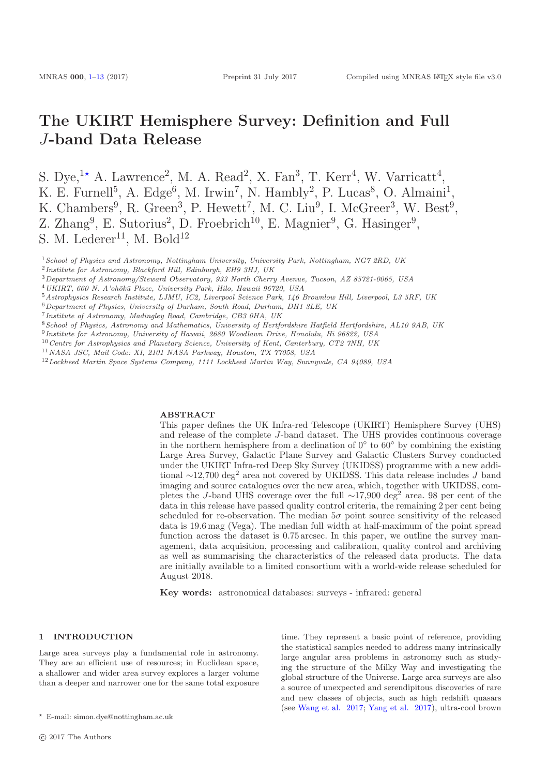### The UKIRT Hemisphere Survey: Definition and Full J-band Data Release

S. Dye,<sup>1\*</sup> A. Lawrence<sup>2</sup>, M. A. Read<sup>2</sup>, X. Fan<sup>3</sup>, T. Kerr<sup>4</sup>, W. Varricatt<sup>4</sup>, K. E. Furnell<sup>5</sup>, A. Edge<sup>6</sup>, M. Irwin<sup>7</sup>, N. Hambly<sup>2</sup>, P. Lucas<sup>8</sup>, O. Almaini<sup>1</sup>, K. Chambers<sup>9</sup>, R. Green<sup>3</sup>, P. Hewett<sup>7</sup>, M. C. Liu<sup>9</sup>, I. McGreer<sup>3</sup>, W. Best<sup>9</sup>, Z. Zhang<sup>9</sup>, E. Sutorius<sup>2</sup>, D. Froebrich<sup>10</sup>, E. Magnier<sup>9</sup>, G. Hasinger<sup>9</sup>, S. M. Lederer<sup>11</sup>, M. Bold<sup>12</sup>

<sup>1</sup>*School of Physics and Astronomy, Nottingham University, University Park, Nottingham, NG7 2RD, UK* 2 *Institute for Astronomy, Blackford Hill, Edinburgh, EH9 3HJ, UK*

- <sup>3</sup>*Department of Astronomy/Steward Observatory, 933 North Cherry Avenue, Tucson, AZ 85721-0065, USA*
- <sup>4</sup>*UKIRT, 660 N. A'oh¯ok¯u Place, University Park, Hilo, Hawaii 96720, USA*
- <sup>5</sup>*Astrophysics Research Institute, LJMU, IC2, Liverpool Science Park, 146 Brownlow Hill, Liverpool, L3 5RF, UK*
- <sup>6</sup>*Department of Physics, University of Durham, South Road, Durham, DH1 3LE, UK*
- 7 *Institute of Astronomy, Madingley Road, Cambridge, CB3 0HA, UK*
- <sup>8</sup>*School of Physics, Astronomy and Mathematics, University of Hertfordshire Hatfield Hertfordshire, AL10 9AB, UK*
- 9 *Institute for Astronomy, University of Hawaii, 2680 Woodlawn Drive, Honolulu, Hi 96822, USA*
- <sup>10</sup>*Centre for Astrophysics and Planetary Science, University of Kent, Canterbury, CT2 7NH, UK*
- <sup>11</sup>*NASA JSC, Mail Code: XI, 2101 NASA Parkway, Houston, TX 77058, USA*
- <sup>12</sup>*Lockheed Martin Space Systems Company, 1111 Lockheed Martin Way, Sunnyvale, CA 94089, USA*

#### <span id="page-1-4"></span>ABSTRACT

This paper defines the UK Infra-red Telescope (UKIRT) Hemisphere Survey (UHS) and release of the complete J-band dataset. The UHS provides continuous coverage in the northern hemisphere from a declination of  $0°$  to  $60°$  by combining the existing Large Area Survey, Galactic Plane Survey and Galactic Clusters Survey conducted under the UKIRT Infra-red Deep Sky Survey (UKIDSS) programme with a new additional ∼12,700 deg<sup>2</sup> area not covered by UKIDSS. This data release includes J band imaging and source catalogues over the new area, which, together with UKIDSS, completes the J-band UHS coverage over the full  $\sim$ 17,900 deg<sup>2</sup> area. 98 per cent of the data in this release have passed quality control criteria, the remaining 2 per cent being scheduled for re-observation. The median  $5\sigma$  point source sensitivity of the released data is 19.6 mag (Vega). The median full width at half-maximum of the point spread function across the dataset is 0.75 arcsec. In this paper, we outline the survey management, data acquisition, processing and calibration, quality control and archiving as well as summarising the characteristics of the released data products. The data are initially available to a limited consortium with a world-wide release scheduled for August 2018.

Key words: astronomical databases: surveys - infrared: general

#### 1 INTRODUCTION

Large area surveys play a fundamental role in astronomy. They are an efficient use of resources; in Euclidean space, a shallower and wider area survey explores a larger volume than a deeper and narrower one for the same total exposure <span id="page-1-3"></span><span id="page-1-2"></span>time. They represent a basic point of reference, providing the statistical samples needed to address many intrinsically large angular area problems in astronomy such as studying the structure of the Milky Way and investigating the global structure of the Universe. Large area surveys are also a source of unexpected and serendipitous discoveries of rare and new classes of objects, such as high redshift quasars (see [Wang et al. 2017](#page-12-0); [Yang et al. 2017](#page-12-1)), ultra-cool brown

<span id="page-1-1"></span><span id="page-1-0"></span><sup>⋆</sup> E-mail: simon.dye@nottingham.ac.uk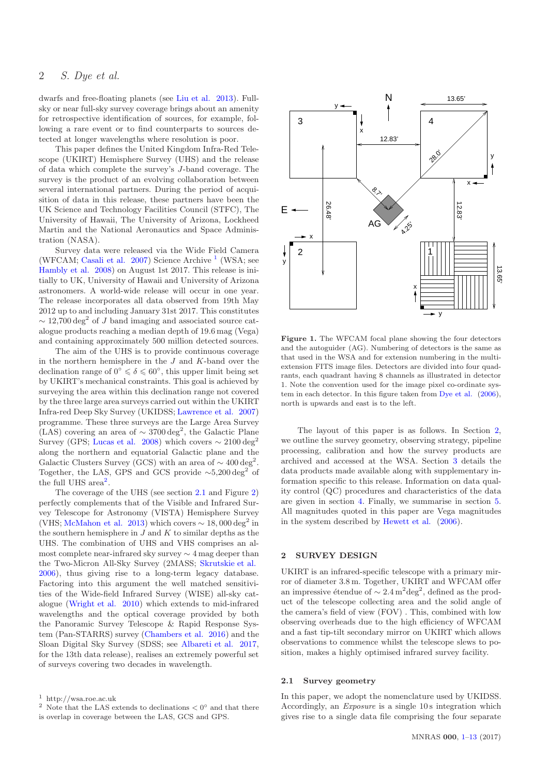#### 2 S. Dye et al.

dwarfs and free-floating planets (see [Liu et al. 2013](#page-12-2)). Fullsky or near full-sky survey coverage brings about an amenity for retrospective identification of sources, for example, following a rare event or to find counterparts to sources detected at longer wavelengths where resolution is poor.

This paper defines the United Kingdom Infra-Red Telescope (UKIRT) Hemisphere Survey (UHS) and the release of data which complete the survey's J-band coverage. The survey is the product of an evolving collaboration between several international partners. During the period of acquisition of data in this release, these partners have been the UK Science and Technology Facilities Council (STFC), The University of Hawaii, The University of Arizona, Lockheed Martin and the National Aeronautics and Space Administration (NASA).

Survey data were released via the Wide Field Camera (WFCAM; [Casali et al. 2007](#page-12-3)) Science Archive<sup>[1](#page-1-0)</sup> (WSA; see [Hambly et al. 2008](#page-12-4)) on August 1st 2017. This release is initially to UK, University of Hawaii and University of Arizona astronomers. A world-wide release will occur in one year. The release incorporates all data observed from 19th May 2012 up to and including January 31st 2017. This constitutes  $\sim$  12,700 deg<sup>2</sup> of J band imaging and associated source catalogue products reaching a median depth of 19.6 mag (Vega) and containing approximately 500 million detected sources.

The aim of the UHS is to provide continuous coverage in the northern hemisphere in the  $J$  and  $K$ -band over the declination range of  $0^{\circ} \le \delta \le 60^{\circ}$ , this upper limit being set by UKIRT's mechanical constraints. This goal is achieved by surveying the area within this declination range not covered by the three large area surveys carried out within the UKIRT Infra-red Deep Sky Survey (UKIDSS; [Lawrence et al. 2007](#page-12-5)) programme. These three surveys are the Large Area Survey (LAS) covering an area of  $\sim 3700 \text{ deg}^2$ , the Galactic Plane Survey (GPS; [Lucas et al. 2008](#page-12-6)) which covers  $\sim 2100 \text{ deg}^2$ along the northern and equatorial Galactic plane and the Galactic Clusters Survey (GCS) with an area of  $\sim 400 \text{ deg}^2$ . Together, the LAS, GPS and GCS provide  $\sim 5,200 \text{ deg}^2$  of the full UHS area<sup>[2](#page-1-1)</sup>.

The coverage of the UHS (see section [2.1](#page-1-2) and Figure [2\)](#page-3-0) perfectly complements that of the Visible and Infrared Survey Telescope for Astronomy (VISTA) Hemisphere Survey (VHS; [McMahon et al. 2013](#page-12-7)) which covers  $\sim 18,000\,\rm{deg}^2$  in the southern hemisphere in  $J$  and  $K$  to similar depths as the UHS. The combination of UHS and VHS comprises an almost complete near-infrared sky survey  $\sim$  4 mag deeper than the Two-Micron All-Sky Survey (2MASS; [Skrutskie et al.](#page-12-8) [2006](#page-12-8)), thus giving rise to a long-term legacy database. Factoring into this argument the well matched sensitivities of the Wide-field Infrared Survey (WISE) all-sky catalogue [\(Wright et al. 2010](#page-12-9)) which extends to mid-infrared wavelengths and the optical coverage provided by both the Panoramic Survey Telescope & Rapid Response System (Pan-STARRS) survey [\(Chambers et al. 2016](#page-12-10)) and the Sloan Digital Sky Survey (SDSS; see [Albareti et al. 2017,](#page-12-11) for the 13th data release), realises an extremely powerful set of surveys covering two decades in wavelength.



Figure 1. The WFCAM focal plane showing the four detectors and the autoguider (AG). Numbering of detectors is the same as that used in the WSA and for extension numbering in the multiextension FITS image files. Detectors are divided into four quadrants, each quadrant having 8 channels as illustrated in detector 1. Note the convention used for the image pixel co-ordinate system in each detector. In this figure taken from [Dye et al.](#page-12-12) [\(2006](#page-12-12)), north is upwards and east is to the left.

The layout of this paper is as follows. In Section [2,](#page-1-3) we outline the survey geometry, observing strategy, pipeline processing, calibration and how the survey products are archived and accessed at the WSA. Section [3](#page-6-0) details the data products made available along with supplementary information specific to this release. Information on data quality control (QC) procedures and characteristics of the data are given in section [4.](#page-7-0) Finally, we summarise in section [5.](#page-11-0) All magnitudes quoted in this paper are Vega magnitudes in the system described by [Hewett et al.](#page-12-13) [\(2006](#page-12-13)).

#### 2 SURVEY DESIGN

UKIRT is an infrared-specific telescope with a primary mirror of diameter 3.8 m. Together, UKIRT and WFCAM offer an impressive étendue of  $\sim 2.4 \,\mathrm{m^2deg^2},$  defined as the product of the telescope collecting area and the solid angle of the camera's field of view (FOV) . This, combined with low observing overheads due to the high efficiency of WFCAM and a fast tip-tilt secondary mirror on UKIRT which allows observations to commence whilst the telescope slews to position, makes a highly optimised infrared survey facility.

#### 2.1 Survey geometry

In this paper, we adopt the nomenclature used by UKIDSS. Accordingly, an Exposure is a single 10 s integration which gives rise to a single data file comprising the four separate

<sup>1</sup> http://wsa.roe.ac.uk

<sup>&</sup>lt;sup>2</sup> Note that the LAS extends to declinations  $\lt 0^\circ$  and that there is overlap in coverage between the LAS, GCS and GPS.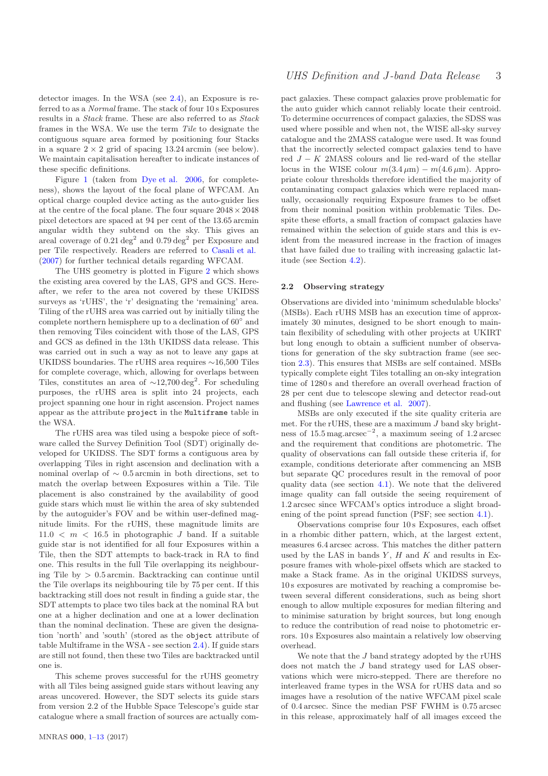detector images. In the WSA (see [2.4\)](#page-5-0), an Exposure is referred to as a Normal frame. The stack of four 10 s Exposures results in a Stack frame. These are also referred to as Stack frames in the WSA. We use the term Tile to designate the contiguous square area formed by positioning four Stacks in a square  $2 \times 2$  grid of spacing 13.24 arcmin (see below). We maintain capitalisation hereafter to indicate instances of these specific definitions.

Figure [1](#page-1-4) (taken from [Dye et al. 2006](#page-12-12), for completeness), shows the layout of the focal plane of WFCAM. An optical charge coupled device acting as the auto-guider lies at the centre of the focal plane. The four square  $2048 \times 2048$ pixel detectors are spaced at 94 per cent of the 13.65 arcmin angular width they subtend on the sky. This gives an areal coverage of  $0.21 \text{ deg}^2$  and  $0.79 \text{ deg}^2$  per Exposure and per Tile respectively. Readers are referred to [Casali et al.](#page-12-3) [\(2007](#page-12-3)) for further technical details regarding WFCAM.

The UHS geometry is plotted in Figure [2](#page-3-0) which shows the existing area covered by the LAS, GPS and GCS. Hereafter, we refer to the area not covered by these UKIDSS surveys as 'rUHS', the 'r' designating the 'remaining' area. Tiling of the rUHS area was carried out by initially tiling the complete northern hemisphere up to a declination of 60° and then removing Tiles coincident with those of the LAS, GPS and GCS as defined in the 13th UKIDSS data release. This was carried out in such a way as not to leave any gaps at UKIDSS boundaries. The rUHS area requires ∼16,500 Tiles for complete coverage, which, allowing for overlaps between Tiles, constitutes an area of  $\sim$ 12,700 deg<sup>2</sup>. For scheduling purposes, the rUHS area is split into 24 projects, each project spanning one hour in right ascension. Project names appear as the attribute project in the Multiframe table in the WSA.

<span id="page-3-0"></span>The rUHS area was tiled using a bespoke piece of software called the Survey Definition Tool (SDT) originally developed for UKIDSS. The SDT forms a contiguous area by overlapping Tiles in right ascension and declination with a nominal overlap of  $\sim$  0.5 arcmin in both directions, set to match the overlap between Exposures within a Tile. Tile placement is also constrained by the availability of good guide stars which must lie within the area of sky subtended by the autoguider's FOV and be within user-defined magnitude limits. For the rUHS, these magnitude limits are  $11.0 < m < 16.5$  in photographic J band. If a suitable guide star is not identified for all four Exposures within a Tile, then the SDT attempts to back-track in RA to find one. This results in the full Tile overlapping its neighbouring Tile by > 0.5 arcmin. Backtracking can continue until the Tile overlaps its neighbouring tile by 75 per cent. If this backtracking still does not result in finding a guide star, the SDT attempts to place two tiles back at the nominal RA but one at a higher declination and one at a lower declination than the nominal declination. These are given the designation 'north' and 'south' (stored as the object attribute of table Multiframe in the WSA - see section [2.4\)](#page-5-0). If guide stars are still not found, then these two Tiles are backtracked until one is.

This scheme proves successful for the rUHS geometry with all Tiles being assigned guide stars without leaving any areas uncovered. However, the SDT selects its guide stars from version 2.2 of the Hubble Space Telescope's guide star catalogue where a small fraction of sources are actually com-

pact galaxies. These compact galaxies prove problematic for the auto guider which cannot reliably locate their centroid. To determine occurrences of compact galaxies, the SDSS was used where possible and when not, the WISE all-sky survey catalogue and the 2MASS catalogue were used. It was found that the incorrectly selected compact galaxies tend to have red  $J - K$  2MASS colours and lie red-ward of the stellar locus in the WISE colour  $m(3.4 \,\mu\text{m}) - m(4.6 \,\mu\text{m})$ . Appropriate colour thresholds therefore identified the majority of contaminating compact galaxies which were replaced manually, occasionally requiring Exposure frames to be offset from their nominal position within problematic Tiles. Despite these efforts, a small fraction of compact galaxies have remained within the selection of guide stars and this is evident from the measured increase in the fraction of images that have failed due to trailing with increasing galactic latitude (see Section [4.2\)](#page-9-0).

#### 2.2 Observing strategy

Observations are divided into 'minimum schedulable blocks' (MSBs). Each rUHS MSB has an execution time of approximately 30 minutes, designed to be short enough to maintain flexibility of scheduling with other projects at UKIRT but long enough to obtain a sufficient number of observations for generation of the sky subtraction frame (see section [2.3\)](#page-3-1). This ensures that MSBs are self contained. MSBs typically complete eight Tiles totalling an on-sky integration time of 1280 s and therefore an overall overhead fraction of 28 per cent due to telescope slewing and detector read-out and flushing (see [Lawrence et al. 2007\)](#page-12-5).

MSBs are only executed if the site quality criteria are met. For the rUHS, these are a maximum  $J$  band sky brightness of 15.5 mag.arcsec<sup>−</sup><sup>2</sup> , a maximum seeing of 1.2 arcsec and the requirement that conditions are photometric. The quality of observations can fall outside these criteria if, for example, conditions deteriorate after commencing an MSB but separate QC procedures result in the removal of poor quality data (see section [4.1\)](#page-7-1). We note that the delivered image quality can fall outside the seeing requirement of 1.2 arcsec since WFCAM's optics introduce a slight broadening of the point spread function (PSF; see section [4.1\)](#page-7-1).

Observations comprise four 10 s Exposures, each offset in a rhombic dither pattern, which, at the largest extent, measures 6.4 arcsec across. This matches the dither pattern used by the LAS in bands  $Y$ ,  $H$  and  $K$  and results in Exposure frames with whole-pixel offsets which are stacked to make a Stack frame. As in the original UKIDSS surveys, 10 s exposures are motivated by reaching a compromise between several different considerations, such as being short enough to allow multiple exposures for median filtering and to minimise saturation by bright sources, but long enough to reduce the contribution of read noise to photometric errors. 10 s Exposures also maintain a relatively low observing overhead.

<span id="page-3-1"></span>We note that the J band strategy adopted by the rUHS does not match the J band strategy used for LAS observations which were micro-stepped. There are therefore no interleaved frame types in the WSA for rUHS data and so images have a resolution of the native WFCAM pixel scale of 0.4 arcsec. Since the median PSF FWHM is 0.75 arcsec in this release, approximately half of all images exceed the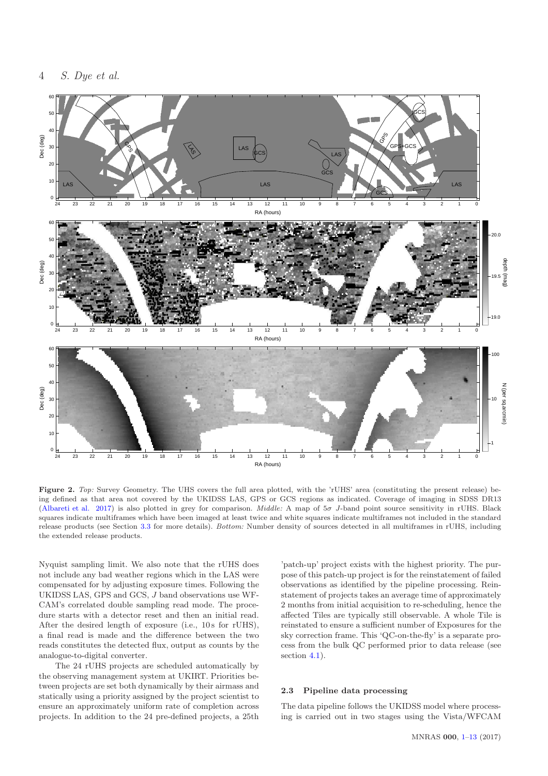

Figure 2. *Top:* Survey Geometry. The UHS covers the full area plotted, with the 'rUHS' area (constituting the present release) being defined as that area not covered by the UKIDSS LAS, GPS or GCS regions as indicated. Coverage of imaging in SDSS DR13 [\(Albareti et al. 2017\)](#page-12-11) is also plotted in grey for comparison. *Middle:* A map of 5σ J-band point source sensitivity in rUHS. Black squares indicate multiframes which have been imaged at least twice and white squares indicate multiframes not included in the standard release products (see Section [3.3](#page-6-1) for more details). *Bottom:* Number density of sources detected in all multiframes in rUHS, including the extended release products.

Nyquist sampling limit. We also note that the rUHS does not include any bad weather regions which in the LAS were compensated for by adjusting exposure times. Following the UKIDSS LAS, GPS and GCS, J band observations use WF-CAM's correlated double sampling read mode. The procedure starts with a detector reset and then an initial read. After the desired length of exposure (i.e., 10 s for rUHS), a final read is made and the difference between the two reads constitutes the detected flux, output as counts by the analogue-to-digital converter.

The 24 rUHS projects are scheduled automatically by the observing management system at UKIRT. Priorities between projects are set both dynamically by their airmass and statically using a priority assigned by the project scientist to ensure an approximately uniform rate of completion across projects. In addition to the 24 pre-defined projects, a 25th

<span id="page-4-1"></span><span id="page-4-0"></span>'patch-up' project exists with the highest priority. The purpose of this patch-up project is for the reinstatement of failed observations as identified by the pipeline processing. Reinstatement of projects takes an average time of approximately 2 months from initial acquisition to re-scheduling, hence the affected Tiles are typically still observable. A whole Tile is reinstated to ensure a sufficient number of Exposures for the sky correction frame. This 'QC-on-the-fly' is a separate process from the bulk QC performed prior to data release (see section [4.1\)](#page-7-1).

#### 2.3 Pipeline data processing

The data pipeline follows the UKIDSS model where processing is carried out in two stages using the Vista/WFCAM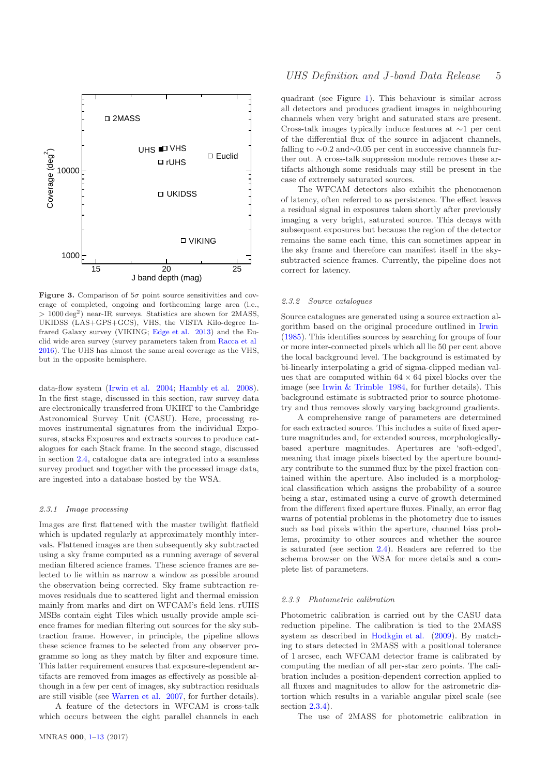

**Figure 3.** Comparison of  $5\sigma$  point source sensitivities and coverage of completed, ongoing and forthcoming large area (i.e., > 1000 deg<sup>2</sup> ) near-IR surveys. Statistics are shown for 2MASS, UKIDSS (LAS+GPS+GCS), VHS, the VISTA Kilo-degree Infrared Galaxy survey (VIKING; [Edge et al. 2013\)](#page-12-14) and the Euclid wide area survey (survey parameters taken from [Racca et al](#page-12-15) [2016](#page-12-15)). The UHS has almost the same areal coverage as the VHS, but in the opposite hemisphere.

data-flow system [\(Irwin et al. 2004](#page-12-16); [Hambly et al. 2008](#page-12-4)). In the first stage, discussed in this section, raw survey data are electronically transferred from UKIRT to the Cambridge Astronomical Survey Unit (CASU). Here, processing removes instrumental signatures from the individual Exposures, stacks Exposures and extracts sources to produce catalogues for each Stack frame. In the second stage, discussed in section [2.4,](#page-5-0) catalogue data are integrated into a seamless survey product and together with the processed image data, are ingested into a database hosted by the WSA.

#### 2.3.1 Image processing

<span id="page-5-1"></span>Images are first flattened with the master twilight flatfield which is updated regularly at approximately monthly intervals. Flattened images are then subsequently sky subtracted using a sky frame computed as a running average of several median filtered science frames. These science frames are selected to lie within as narrow a window as possible around the observation being corrected. Sky frame subtraction removes residuals due to scattered light and thermal emission mainly from marks and dirt on WFCAM's field lens. rUHS MSBs contain eight Tiles which usually provide ample science frames for median filtering out sources for the sky subtraction frame. However, in principle, the pipeline allows these science frames to be selected from any observer programme so long as they match by filter and exposure time. This latter requirement ensures that exposure-dependent artifacts are removed from images as effectively as possible although in a few per cent of images, sky subtraction residuals are still visible (see [Warren et al. 2007,](#page-12-17) for further details).

A feature of the detectors in WFCAM is cross-talk which occurs between the eight parallel channels in each <span id="page-5-0"></span>quadrant (see Figure [1\)](#page-1-4). This behaviour is similar across all detectors and produces gradient images in neighbouring channels when very bright and saturated stars are present. Cross-talk images typically induce features at ∼1 per cent of the differential flux of the source in adjacent channels, falling to ∼0.2 and∼0.05 per cent in successive channels further out. A cross-talk suppression module removes these artifacts although some residuals may still be present in the case of extremely saturated sources.

The WFCAM detectors also exhibit the phenomenon of latency, often referred to as persistence. The effect leaves a residual signal in exposures taken shortly after previously imaging a very bright, saturated source. This decays with subsequent exposures but because the region of the detector remains the same each time, this can sometimes appear in the sky frame and therefore can manifest itself in the skysubtracted science frames. Currently, the pipeline does not correct for latency.

#### 2.3.2 Source catalogues

Source catalogues are generated using a source extraction algorithm based on the original procedure outlined in [Irwin](#page-12-18) [\(1985](#page-12-18)). This identifies sources by searching for groups of four or more inter-connected pixels which all lie 50 per cent above the local background level. The background is estimated by bi-linearly interpolating a grid of sigma-clipped median values that are computed within  $64 \times 64$  pixel blocks over the image (see [Irwin & Trimble 1984](#page-12-19), for further details). This background estimate is subtracted prior to source photometry and thus removes slowly varying background gradients.

A comprehensive range of parameters are determined for each extracted source. This includes a suite of fixed aperture magnitudes and, for extended sources, morphologicallybased aperture magnitudes. Apertures are 'soft-edged', meaning that image pixels bisected by the aperture boundary contribute to the summed flux by the pixel fraction contained within the aperture. Also included is a morphological classification which assigns the probability of a source being a star, estimated using a curve of growth determined from the different fixed aperture fluxes. Finally, an error flag warns of potential problems in the photometry due to issues such as bad pixels within the aperture, channel bias problems, proximity to other sources and whether the source is saturated (see section [2.4\)](#page-5-0). Readers are referred to the schema browser on the WSA for more details and a complete list of parameters.

#### 2.3.3 Photometric calibration

Photometric calibration is carried out by the CASU data reduction pipeline. The calibration is tied to the 2MASS system as described in [Hodkgin et al.](#page-12-20) [\(2009](#page-12-20)). By matching to stars detected in 2MASS with a positional tolerance of 1 arcsec, each WFCAM detector frame is calibrated by computing the median of all per-star zero points. The calibration includes a position-dependent correction applied to all fluxes and magnitudes to allow for the astrometric distortion which results in a variable angular pixel scale (see section [2.3.4\)](#page-5-1).

The use of 2MASS for photometric calibration in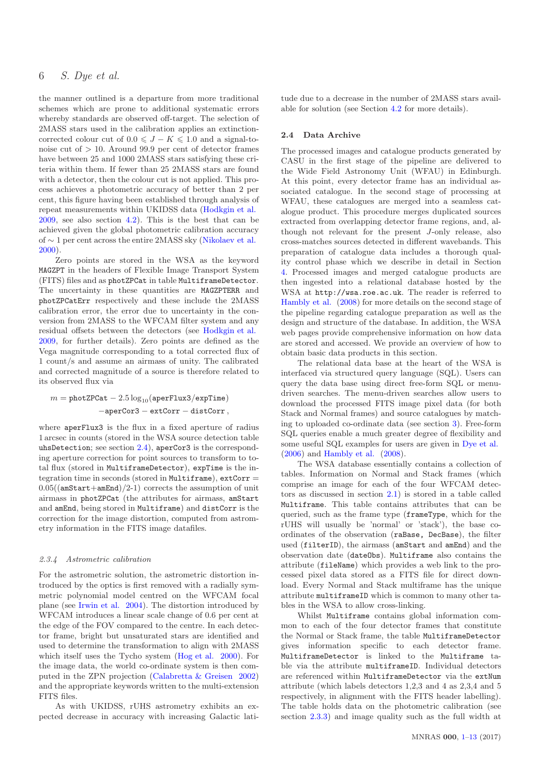the manner outlined is a departure from more traditional schemes which are prone to additional systematic errors whereby standards are observed off-target. The selection of 2MASS stars used in the calibration applies an extinctioncorrected colour cut of  $0.0 \leq J - K \leq 1.0$  and a signal-tonoise cut of  $> 10$ . Around 99.9 per cent of detector frames have between 25 and 1000 2MASS stars satisfying these criteria within them. If fewer than 25 2MASS stars are found with a detector, then the colour cut is not applied. This process achieves a photometric accuracy of better than 2 per cent, this figure having been established through analysis of repeat measurements within UKIDSS data [\(Hodkgin et al.](#page-12-20) [2009](#page-12-20), see also section [4.2\)](#page-9-0). This is the best that can be achieved given the global photometric calibration accuracy of ∼ 1 per cent across the entire 2MASS sky [\(Nikolaev et al.](#page-12-21) [2000](#page-12-21)).

Zero points are stored in the WSA as the keyword MAGZPT in the headers of Flexible Image Transport System (FITS) files and as photZPCat in table MultiframeDetector. The uncertainty in these quantities are MAGZPTERR and photZPCatErr respectively and these include the 2MASS calibration error, the error due to uncertainty in the conversion from 2MASS to the WFCAM filter system and any residual offsets between the detectors (see [Hodkgin et al.](#page-12-20) [2009](#page-12-20), for further details). Zero points are defined as the Vega magnitude corresponding to a total corrected flux of 1 count/s and assume an airmass of unity. The calibrated and corrected magnitude of a source is therefore related to its observed flux via

#### $m = \text{photZPCat} - 2.5 \log_{10}(\text{aperFlux3}/\text{expTime})$ −aperCor3 − extCorr − distCorr ,

where aperFlux3 is the flux in a fixed aperture of radius 1 arcsec in counts (stored in the WSA source detection table uhsDetection; see section [2.4\)](#page-5-0), aperCor3 is the corresponding aperture correction for point sources to transform to total flux (stored in MultiframeDetector), expTime is the integration time in seconds (stored in Multiframe), extCorr =  $0.05$ ((amStart+amEnd)/2-1) corrects the assumption of unit airmass in photZPCat (the attributes for airmass, amStart and amEnd, being stored in Multiframe) and distCorr is the correction for the image distortion, computed from astrometry information in the FITS image datafiles.

#### 2.3.4 Astrometric calibration

For the astrometric solution, the astrometric distortion introduced by the optics is first removed with a radially symmetric polynomial model centred on the WFCAM focal plane (see [Irwin et al. 2004\)](#page-12-16). The distortion introduced by WFCAM introduces a linear scale change of 0.6 per cent at the edge of the FOV compared to the centre. In each detector frame, bright but unsaturated stars are identified and used to determine the transformation to align with 2MASS which itself uses the Tycho system [\(Hog et al. 2000\)](#page-12-22). For the image data, the world co-ordinate system is then computed in the ZPN projection [\(Calabretta & Greisen 2002](#page-12-23)) and the appropriate keywords written to the multi-extension FITS files.

<span id="page-6-0"></span>As with UKIDSS, rUHS astrometry exhibits an expected decrease in accuracy with increasing Galactic latitude due to a decrease in the number of 2MASS stars available for solution (see Section [4.2](#page-9-0) for more details).

#### 2.4 Data Archive

The processed images and catalogue products generated by CASU in the first stage of the pipeline are delivered to the Wide Field Astronomy Unit (WFAU) in Edinburgh. At this point, every detector frame has an individual associated catalogue. In the second stage of processing at WFAU, these catalogues are merged into a seamless catalogue product. This procedure merges duplicated sources extracted from overlapping detector frame regions, and, although not relevant for the present J-only release, also cross-matches sources detected in different wavebands. This preparation of catalogue data includes a thorough quality control phase which we describe in detail in Section [4.](#page-7-0) Processed images and merged catalogue products are then ingested into a relational database hosted by the WSA at http://wsa.roe.ac.uk. The reader is referred to [Hambly et al.](#page-12-4) [\(2008](#page-12-4)) for more details on the second stage of the pipeline regarding catalogue preparation as well as the design and structure of the database. In addition, the WSA web pages provide comprehensive information on how data are stored and accessed. We provide an overview of how to obtain basic data products in this section.

The relational data base at the heart of the WSA is interfaced via structured query language (SQL). Users can query the data base using direct free-form SQL or menudriven searches. The menu-driven searches allow users to download the processed FITS image pixel data (for both Stack and Normal frames) and source catalogues by matching to uploaded co-ordinate data (see section [3\)](#page-6-0). Free-form SQL queries enable a much greater degree of flexibility and some useful SQL examples for users are given in [Dye et al.](#page-12-12) [\(2006](#page-12-12)) and [Hambly et al.](#page-12-4) [\(2008\)](#page-12-4).

The WSA database essentially contains a collection of tables. Information on Normal and Stack frames (which comprise an image for each of the four WFCAM detectors as discussed in section [2.1\)](#page-1-2) is stored in a table called Multiframe. This table contains attributes that can be queried, such as the frame type (frameType, which for the rUHS will usually be 'normal' or 'stack'), the base coordinates of the observation (raBase, DecBase), the filter used (filterID), the airmass (amStart and amEnd) and the observation date (dateObs). Multiframe also contains the attribute (fileName) which provides a web link to the processed pixel data stored as a FITS file for direct download. Every Normal and Stack multiframe has the unique attribute multiframeID which is common to many other tables in the WSA to allow cross-linking.

<span id="page-6-1"></span>Whilst Multiframe contains global information common to each of the four detector frames that constitute the Normal or Stack frame, the table MultiframeDetector gives information specific to each detector frame. MultiframeDetector is linked to the Multiframe table via the attribute multiframeID. Individual detectors are referenced within MultiframeDetector via the extNum attribute (which labels detectors 1,2,3 and 4 as 2,3,4 and 5 respectively, in alignment with the FITS header labelling). The table holds data on the photometric calibration (see section [2.3.3\)](#page-4-0) and image quality such as the full width at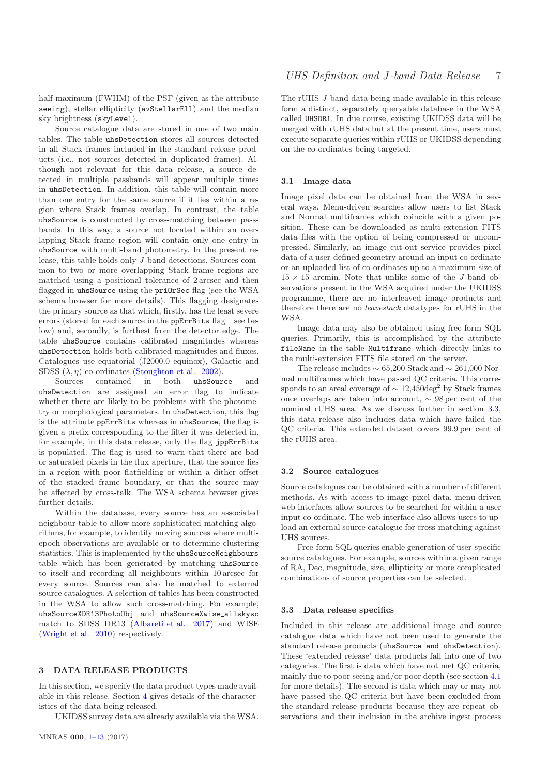half-maximum (FWHM) of the PSF (given as the attribute seeing), stellar ellipticity (avStellarEll) and the median sky brightness (skyLevel).

Source catalogue data are stored in one of two main tables. The table uhsDetection stores all sources detected in all Stack frames included in the standard release products (i.e., not sources detected in duplicated frames). Although not relevant for this data release, a source detected in multiple passbands will appear multiple times in uhsDetection. In addition, this table will contain more than one entry for the same source if it lies within a region where Stack frames overlap. In contrast, the table uhsSource is constructed by cross-matching between passbands. In this way, a source not located within an overlapping Stack frame region will contain only one entry in uhsSource with multi-band photometry. In the present release, this table holds only J-band detections. Sources common to two or more overlapping Stack frame regions are matched using a positional tolerance of 2 arcsec and then flagged in uhsSource using the priOrSec flag (see the WSA schema browser for more details). This flagging designates the primary source as that which, firstly, has the least severe errors (stored for each source in the ppErrBits flag – see below) and, secondly, is furthest from the detector edge. The table uhsSource contains calibrated magnitudes whereas uhsDetection holds both calibrated magnitudes and fluxes. Catalogues use equatorial (J2000.0 equinox), Galactic and SDSS  $(\lambda, \eta)$  co-ordinates [\(Stoughton et al. 2002\)](#page-12-24).

Sources contained in both uhsSource and uhsDetection are assigned an error flag to indicate whether there are likely to be problems with the photometry or morphological parameters. In uhsDetection, this flag is the attribute ppErrBits whereas in uhsSource, the flag is given a prefix corresponding to the filter it was detected in, for example, in this data release, only the flag jppErrBits is populated. The flag is used to warn that there are bad or saturated pixels in the flux aperture, that the source lies in a region with poor flatfielding or within a dither offset of the stacked frame boundary, or that the source may be affected by cross-talk. The WSA schema browser gives further details.

Within the database, every source has an associated neighbour table to allow more sophisticated matching algorithms, for example, to identify moving sources where multiepoch observations are available or to determine clustering statistics. This is implemented by the uhsSourceNeighbours table which has been generated by matching uhsSource to itself and recording all neighbours within 10 arcsec for every source. Sources can also be matched to external source catalogues. A selection of tables has been constructed in the WSA to allow such cross-matching. For example, uhsSourceXDR13PhotoObj and uhsSourceXwise allskysc match to SDSS DR13 [\(Albareti et al. 2017](#page-12-11)) and WISE [\(Wright et al. 2010\)](#page-12-9) respectively.

#### 3 DATA RELEASE PRODUCTS

In this section, we specify the data product types made available in this release. Section [4](#page-7-0) gives details of the characteristics of the data being released.

UKIDSS survey data are already available via the WSA.

The rUHS J-band data being made available in this release form a distinct, separately queryable database in the WSA called UHSDR1. In due course, existing UKIDSS data will be merged with rUHS data but at the present time, users must execute separate queries within rUHS or UKIDSS depending on the co-ordinates being targeted.

#### 3.1 Image data

Image pixel data can be obtained from the WSA in several ways. Menu-driven searches allow users to list Stack and Normal multiframes which coincide with a given position. These can be downloaded as multi-extension FITS data files with the option of being compressed or uncompressed. Similarly, an image cut-out service provides pixel data of a user-defined geometry around an input co-ordinate or an uploaded list of co-ordinates up to a maximum size of  $15 \times 15$  arcmin. Note that unlike some of the *J*-band observations present in the WSA acquired under the UKIDSS programme, there are no interleaved image products and therefore there are no leavestack datatypes for rUHS in the WSA.

<span id="page-7-1"></span><span id="page-7-0"></span>Image data may also be obtained using free-form SQL queries. Primarily, this is accomplished by the attribute fileName in the table Multiframe which directly links to the multi-extension FITS file stored on the server.

The release includes  $\sim 65,200$  Stack and  $\sim 261,000$  Normal multiframes which have passed QC criteria. This corresponds to an areal coverage of  $\sim 12{,}450\text{deg}^2$  by Stack frames once overlaps are taken into account, ∼ 98 per cent of the nominal rUHS area. As we discuss further in section [3.3,](#page-6-1) this data release also includes data which have failed the QC criteria. This extended dataset covers 99.9 per cent of the rUHS area.

#### 3.2 Source catalogues

Source catalogues can be obtained with a number of different methods. As with access to image pixel data, menu-driven web interfaces allow sources to be searched for within a user input co-ordinate. The web interface also allows users to upload an external source catalogue for cross-matching against UHS sources.

Free-form SQL queries enable generation of user-specific source catalogues. For example, sources within a given range of RA, Dec, magnitude, size, ellipticity or more complicated combinations of source properties can be selected.

#### 3.3 Data release specifics

Included in this release are additional image and source catalogue data which have not been used to generate the standard release products (uhsSource and uhsDetection). These 'extended release' data products fall into one of two categories. The first is data which have not met QC criteria, mainly due to poor seeing and/or poor depth (see section [4.1](#page-7-1) for more details). The second is data which may or may not have passed the QC criteria but have been excluded from the standard release products because they are repeat observations and their inclusion in the archive ingest process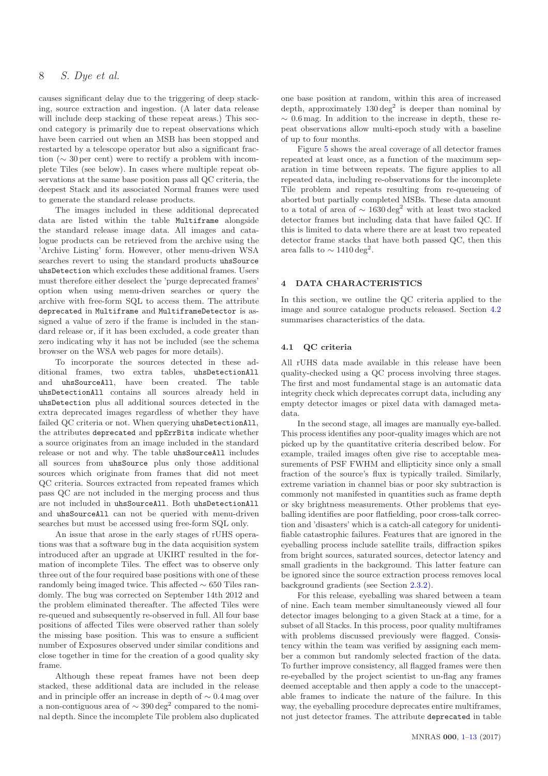causes significant delay due to the triggering of deep stacking, source extraction and ingestion. (A later data release will include deep stacking of these repeat areas.) This second category is primarily due to repeat observations which have been carried out when an MSB has been stopped and restarted by a telescope operator but also a significant fraction (∼ 30 per cent) were to rectify a problem with incomplete Tiles (see below). In cases where multiple repeat observations at the same base position pass all QC criteria, the deepest Stack and its associated Normal frames were used to generate the standard release products.

The images included in these additional deprecated data are listed within the table Multiframe alongside the standard release image data. All images and catalogue products can be retrieved from the archive using the 'Archive Listing' form. However, other menu-driven WSA searches revert to using the standard products uhsSource uhsDetection which excludes these additional frames. Users must therefore either deselect the 'purge deprecated frames' option when using menu-driven searches or query the archive with free-form SQL to access them. The attribute deprecated in Multiframe and MultiframeDetector is assigned a value of zero if the frame is included in the standard release or, if it has been excluded, a code greater than zero indicating why it has not be included (see the schema browser on the WSA web pages for more details).

<span id="page-8-0"></span>To incorporate the sources detected in these additional frames, two extra tables, uhsDetectionAll and uhsSourceAll, have been created. The table uhsDetectionAll contains all sources already held in uhsDetection plus all additional sources detected in the extra deprecated images regardless of whether they have failed QC criteria or not. When querying uhsDetectionAll, the attributes deprecated and ppErrBits indicate whether a source originates from an image included in the standard release or not and why. The table uhsSourceAll includes all sources from uhsSource plus only those additional sources which originate from frames that did not meet QC criteria. Sources extracted from repeated frames which pass QC are not included in the merging process and thus are not included in uhsSourceAll. Both uhsDetectionAll and uhsSourceAll can not be queried with menu-driven searches but must be accessed using free-form SQL only.

An issue that arose in the early stages of rUHS operations was that a software bug in the data acquisition system introduced after an upgrade at UKIRT resulted in the formation of incomplete Tiles. The effect was to observe only three out of the four required base positions with one of these randomly being imaged twice. This affected ∼ 650 Tiles randomly. The bug was corrected on September 14th 2012 and the problem eliminated thereafter. The affected Tiles were re-queued and subsequently re-observed in full. All four base positions of affected Tiles were observed rather than solely the missing base position. This was to ensure a sufficient number of Exposures observed under similar conditions and close together in time for the creation of a good quality sky frame.

Although these repeat frames have not been deep stacked, these additional data are included in the release and in principle offer an increase in depth of ∼ 0.4 mag over a non-contiguous area of  $\sim 390\deg^2$  compared to the nominal depth. Since the incomplete Tile problem also duplicated

one base position at random, within this area of increased depth, approximately  $130 \text{ deg}^2$  is deeper than nominal by  $\sim 0.6$  mag. In addition to the increase in depth, these repeat observations allow multi-epoch study with a baseline of up to four months.

Figure [5](#page-9-1) shows the areal coverage of all detector frames repeated at least once, as a function of the maximum separation in time between repeats. The figure applies to all repeated data, including re-observations for the incomplete Tile problem and repeats resulting from re-queueing of aborted but partially completed MSBs. These data amount to a total of area of  $\sim 1630 \text{ deg}^2$  with at least two stacked detector frames but including data that have failed QC. If this is limited to data where there are at least two repeated detector frame stacks that have both passed QC, then this area falls to  $\sim 1410 \text{ deg}^2$ .

#### 4 DATA CHARACTERISTICS

In this section, we outline the QC criteria applied to the image and source catalogue products released. Section [4.2](#page-9-0) summarises characteristics of the data.

#### 4.1 QC criteria

All rUHS data made available in this release have been quality-checked using a QC process involving three stages. The first and most fundamental stage is an automatic data integrity check which deprecates corrupt data, including any empty detector images or pixel data with damaged metadata.

In the second stage, all images are manually eye-balled. This process identifies any poor-quality images which are not picked up by the quantitative criteria described below. For example, trailed images often give rise to acceptable measurements of PSF FWHM and ellipticity since only a small fraction of the source's flux is typically trailed. Similarly, extreme variation in channel bias or poor sky subtraction is commonly not manifested in quantities such as frame depth or sky brightness measurements. Other problems that eyeballing identifies are poor flatfielding, poor cross-talk correction and 'disasters' which is a catch-all category for unidentifiable catastrophic failures. Features that are ignored in the eyeballing process include satellite trails, diffraction spikes from bright sources, saturated sources, detector latency and small gradients in the background. This latter feature can be ignored since the source extraction process removes local background gradients (see Section [2.3.2\)](#page-4-1).

For this release, eyeballing was shared between a team of nine. Each team member simultaneously viewed all four detector images belonging to a given Stack at a time, for a subset of all Stacks. In this process, poor quality multiframes with problems discussed previously were flagged. Consistency within the team was verified by assigning each member a common but randomly selected fraction of the data. To further improve consistency, all flagged frames were then re-eyeballed by the project scientist to un-flag any frames deemed acceptable and then apply a code to the unacceptable frames to indicate the nature of the failure. In this way, the eyeballing procedure deprecates entire multiframes, not just detector frames. The attribute deprecated in table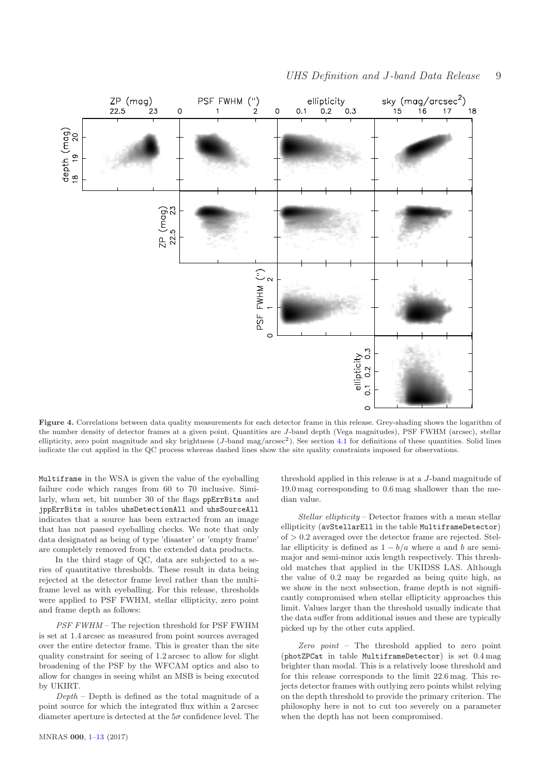

<span id="page-9-1"></span><span id="page-9-0"></span>Figure 4. Correlations between data quality measurements for each detector frame in this release. Grey-shading shows the logarithm of the number density of detector frames at a given point. Quantities are J-band depth (Vega magnitudes), PSF FWHM (arcsec), stellar ellipticity, zero point magnitude and sky brightness (J-band mag/arcsec<sup>2</sup>). See section [4.1](#page-7-1) for definitions of these quantities. Solid lines indicate the cut applied in the QC process whereas dashed lines show the site quality constraints imposed for observations.

Multiframe in the WSA is given the value of the eyeballing failure code which ranges from 60 to 70 inclusive. Similarly, when set, bit number 30 of the flags ppErrBits and jppErrBits in tables uhsDetectionAll and uhsSourceAll indicates that a source has been extracted from an image that has not passed eyeballing checks. We note that only data designated as being of type 'disaster' or 'empty frame' are completely removed from the extended data products.

In the third stage of QC, data are subjected to a series of quantitative thresholds. These result in data being rejected at the detector frame level rather than the multiframe level as with eyeballing. For this release, thresholds were applied to PSF FWHM, stellar ellipticity, zero point and frame depth as follows:

PSF FWHM – The rejection threshold for PSF FWHM is set at 1.4 arcsec as measured from point sources averaged over the entire detector frame. This is greater than the site quality constraint for seeing of 1.2 arcsec to allow for slight broadening of the PSF by the WFCAM optics and also to allow for changes in seeing whilst an MSB is being executed by UKIRT.

 $Depth$  – Depth is defined as the total magnitude of a point source for which the integrated flux within a 2 arcsec diameter aperture is detected at the  $5\sigma$  confidence level. The <span id="page-9-2"></span>threshold applied in this release is at a J-band magnitude of 19.0 mag corresponding to 0.6 mag shallower than the median value.

Stellar ellipticity – Detector frames with a mean stellar ellipticity (avStellarEll in the table MultiframeDetector)  $of > 0.2$  averaged over the detector frame are rejected. Stellar ellipticity is defined as  $1 - b/a$  where a and b are semimajor and semi-minor axis length respectively. This threshold matches that applied in the UKIDSS LAS. Although the value of 0.2 may be regarded as being quite high, as we show in the next subsection, frame depth is not significantly compromised when stellar ellipticity approaches this limit. Values larger than the threshold usually indicate that the data suffer from additional issues and these are typically picked up by the other cuts applied.

Zero point – The threshold applied to zero point (photZPCat in table MultiframeDetector) is set 0.4 mag brighter than modal. This is a relatively loose threshold and for this release corresponds to the limit 22.6 mag. This rejects detector frames with outlying zero points whilst relying on the depth threshold to provide the primary criterion. The philosophy here is not to cut too severely on a parameter when the depth has not been compromised.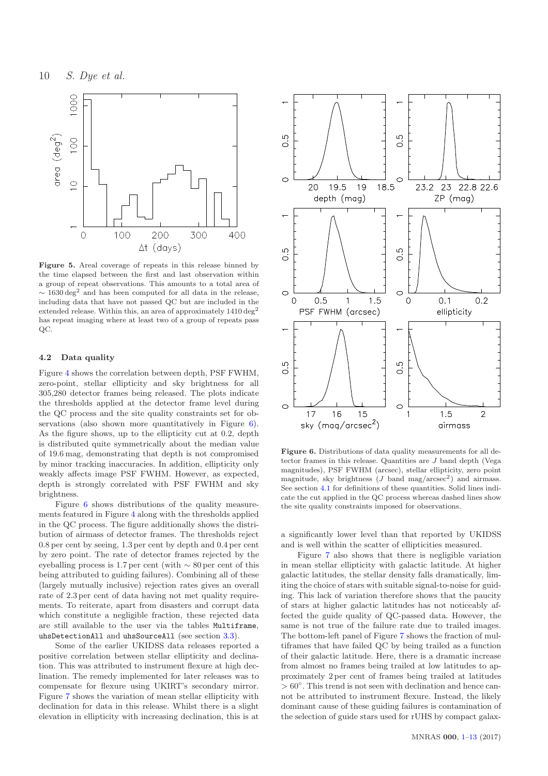

Figure 5. Areal coverage of repeats in this release binned by the time elapsed between the first and last observation within a group of repeat observations. This amounts to a total area of  $\sim 1630 \text{ deg}^2$  and has been computed for all data in the release, including data that have not passed QC but are included in the extended release. Within this, an area of approximately 1410 deg<sup>2</sup> has repeat imaging where at least two of a group of repeats pass QC.

#### 4.2 Data quality

<span id="page-10-0"></span>Figure [4](#page-8-0) shows the correlation between depth, PSF FWHM, zero-point, stellar ellipticity and sky brightness for all 305,280 detector frames being released. The plots indicate the thresholds applied at the detector frame level during the QC process and the site quality constraints set for ob-servations (also shown more quantitatively in Figure [6\)](#page-9-2). As the figure shows, up to the ellipticity cut at 0.2, depth is distributed quite symmetrically about the median value of 19.6 mag, demonstrating that depth is not compromised by minor tracking inaccuracies. In addition, ellipticity only weakly affects image PSF FWHM. However, as expected, depth is strongly correlated with PSF FWHM and sky brightness.

Figure [6](#page-9-2) shows distributions of the quality measurements featured in Figure [4](#page-8-0) along with the thresholds applied in the QC process. The figure additionally shows the distribution of airmass of detector frames. The thresholds reject 0.8 per cent by seeing, 1.3 per cent by depth and 0.4 per cent by zero point. The rate of detector frames rejected by the eyeballing process is 1.7 per cent (with ∼ 80 per cent of this being attributed to guiding failures). Combining all of these (largely mutually inclusive) rejection rates gives an overall rate of 2.3 per cent of data having not met quality requirements. To reiterate, apart from disasters and corrupt data which constitute a negligible fraction, these rejected data are still available to the user via the tables Multiframe, uhsDetectionAll and uhsSourceAll (see section [3.3\)](#page-6-1).

Some of the earlier UKIDSS data releases reported a positive correlation between stellar ellipticity and declination. This was attributed to instrument flexure at high declination. The remedy implemented for later releases was to compensate for flexure using UKIRT's secondary mirror. Figure [7](#page-10-0) shows the variation of mean stellar ellipticity with declination for data in this release. Whilst there is a slight elevation in ellipticity with increasing declination, this is at



Figure 6. Distributions of data quality measurements for all detector frames in this release. Quantities are J band depth (Vega magnitudes), PSF FWHM (arcsec), stellar ellipticity, zero point magnitude, sky brightness  $(J \text{ band } mag/arcsec^2)$  and airmass. See section [4.1](#page-7-1) for definitions of these quantities. Solid lines indicate the cut applied in the QC process whereas dashed lines show the site quality constraints imposed for observations.

a significantly lower level than that reported by UKIDSS and is well within the scatter of ellipticities measured.

Figure [7](#page-10-0) also shows that there is negligible variation in mean stellar ellipticity with galactic latitude. At higher galactic latitudes, the stellar density falls dramatically, limiting the choice of stars with suitable signal-to-noise for guiding. This lack of variation therefore shows that the paucity of stars at higher galactic latitudes has not noticeably affected the guide quality of QC-passed data. However, the same is not true of the failure rate due to trailed images. The bottom-left panel of Figure [7](#page-10-0) shows the fraction of multiframes that have failed QC by being trailed as a function of their galactic latitude. Here, there is a dramatic increase from almost no frames being trailed at low latitudes to approximately 2 per cent of frames being trailed at latitudes  $> 60^\circ$ . This trend is not seen with declination and hence cannot be attributed to instrument flexure. Instead, the likely dominant cause of these guiding failures is contamination of the selection of guide stars used for rUHS by compact galax-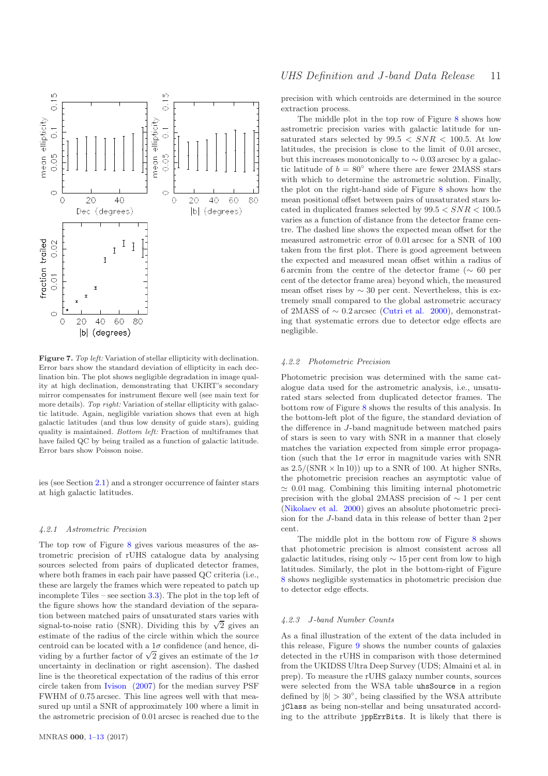

<span id="page-11-1"></span>Figure 7. *Top left:* Variation of stellar ellipticity with declination. Error bars show the standard deviation of ellipticity in each declination bin. The plot shows negligible degradation in image quality at high declination, demonstrating that UKIRT's secondary mirror compensates for instrument flexure well (see main text for more details). *Top right:* Variation of stellar ellipticity with galactic latitude. Again, negligible variation shows that even at high galactic latitudes (and thus low density of guide stars), guiding quality is maintained. *Bottom left:* Fraction of multiframes that have failed QC by being trailed as a function of galactic latitude. Error bars show Poisson noise.

ies (see Section [2.1\)](#page-1-2) and a stronger occurrence of fainter stars at high galactic latitudes.

#### 4.2.1 Astrometric Precision

<span id="page-11-0"></span>The top row of Figure [8](#page-11-1) gives various measures of the astrometric precision of rUHS catalogue data by analysing sources selected from pairs of duplicated detector frames, where both frames in each pair have passed QC criteria (i.e., these are largely the frames which were repeated to patch up incomplete Tiles – see section [3.3\)](#page-6-1). The plot in the top left of the figure shows how the standard deviation of the separation between matched pairs of unsaturated stars varies with signal-to-noise ratio (SNR). Dividing this by  $\sqrt{2}$  gives an estimate of the radius of the circle within which the source centroid can be located with a  $1\sigma$  confidence (and hence, dividing by a further factor of  $\sqrt{2}$  gives an estimate of the  $1\sigma$ uncertainty in declination or right ascension). The dashed line is the theoretical expectation of the radius of this error circle taken from [Ivison](#page-12-25) [\(2007](#page-12-25)) for the median survey PSF FWHM of 0.75 arcsec. This line agrees well with that measured up until a SNR of approximately 100 where a limit in the astrometric precision of 0.01 arcsec is reached due to the precision with which centroids are determined in the source extraction process.

The middle plot in the top row of Figure [8](#page-11-1) shows how astrometric precision varies with galactic latitude for unsaturated stars selected by  $99.5 < SNR < 100.5$ . At low latitudes, the precision is close to the limit of 0.01 arcsec, but this increases monotonically to  $\sim 0.03$  arcsec by a galactic latitude of  $b = 80°$  where there are fewer 2MASS stars with which to determine the astrometric solution. Finally, the plot on the right-hand side of Figure [8](#page-11-1) shows how the mean positional offset between pairs of unsaturated stars located in duplicated frames selected by  $99.5 < SNR < 100.5$ varies as a function of distance from the detector frame centre. The dashed line shows the expected mean offset for the measured astrometric error of 0.01 arcsec for a SNR of 100 taken from the first plot. There is good agreement between the expected and measured mean offset within a radius of 6 arcmin from the centre of the detector frame ( $\sim 60$  per cent of the detector frame area) beyond which, the measured mean offset rises by  $\sim$  30 per cent. Nevertheless, this is extremely small compared to the global astrometric accuracy of 2MASS of  $\sim$  0.2 arcsec [\(Cutri et al. 2000\)](#page-12-26), demonstrating that systematic errors due to detector edge effects are negligible.

#### 4.2.2 Photometric Precision

Photometric precision was determined with the same catalogue data used for the astrometric analysis, i.e., unsaturated stars selected from duplicated detector frames. The bottom row of Figure [8](#page-11-1) shows the results of this analysis. In the bottom-left plot of the figure, the standard deviation of the difference in J-band magnitude between matched pairs of stars is seen to vary with SNR in a manner that closely matches the variation expected from simple error propagation (such that the  $1\sigma$  error in magnitude varies with SNR as  $2.5/(\text{SNR} \times \ln 10)$  up to a SNR of 100. At higher SNRs, the photometric precision reaches an asymptotic value of  $\simeq 0.01$  mag. Combining this limiting internal photometric precision with the global 2MASS precision of ∼ 1 per cent [\(Nikolaev et al. 2000](#page-12-21)) gives an absolute photometric precision for the J-band data in this release of better than 2 per cent.

The middle plot in the bottom row of Figure [8](#page-11-1) shows that photometric precision is almost consistent across all galactic latitudes, rising only  $\sim$  15 per cent from low to high latitudes. Similarly, the plot in the bottom-right of Figure [8](#page-11-1) shows negligible systematics in photometric precision due to detector edge effects.

#### 4.2.3 J-band Number Counts

As a final illustration of the extent of the data included in this release, Figure [9](#page-12-27) shows the number counts of galaxies detected in the rUHS in comparison with those determined from the UKIDSS Ultra Deep Survey (UDS; Almaini et al. in prep). To measure the rUHS galaxy number counts, sources were selected from the WSA table uhsSource in a region defined by  $|b| > 30^{\circ}$ , being classified by the WSA attribute jClass as being non-stellar and being unsaturated according to the attribute jppErrBits. It is likely that there is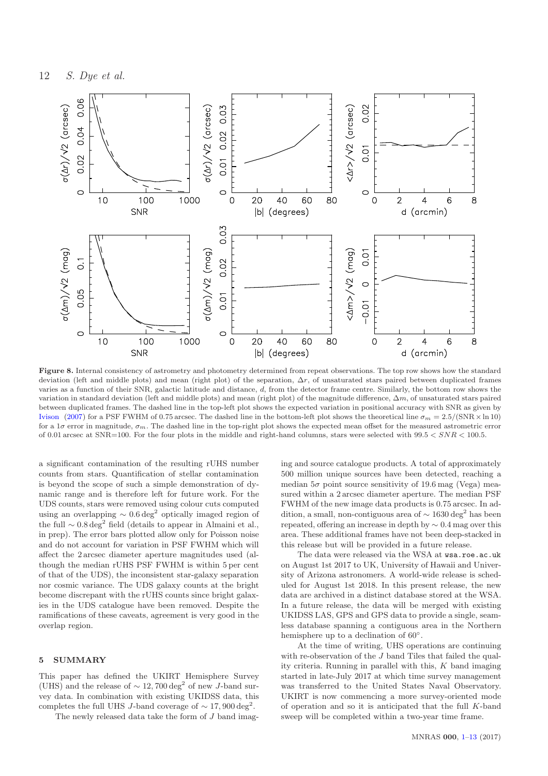

<span id="page-12-27"></span>Figure 8. Internal consistency of astrometry and photometry determined from repeat observations. The top row shows how the standard deviation (left and middle plots) and mean (right plot) of the separation,  $\Delta r$ , of unsaturated stars paired between duplicated frames varies as a function of their SNR, galactic latitude and distance, d, from the detector frame centre. Similarly, the bottom row shows the variation in standard deviation (left and middle plots) and mean (right plot) of the magnitude difference,  $\Delta m$ , of unsaturated stars paired between duplicated frames. The dashed line in the top-left plot shows the expected variation in positional accuracy with SNR as given by [Ivison](#page-12-25) [\(2007\)](#page-12-25) for a PSF FWHM of 0.75 arcsec. The dashed line in the bottom-left plot shows the theoretical line  $\sigma_m = 2.5/(SNR \times \ln 10)$ for a  $1\sigma$  error in magnitude,  $\sigma_m$ . The dashed line in the top-right plot shows the expected mean offset for the measured astrometric error of 0.01 arcsec at  $SNR=100$ . For the four plots in the middle and right-hand columns, stars were selected with  $99.5 < SNR < 100.5$ .

a significant contamination of the resulting rUHS number counts from stars. Quantification of stellar contamination is beyond the scope of such a simple demonstration of dynamic range and is therefore left for future work. For the UDS counts, stars were removed using colour cuts computed using an overlapping  $\sim 0.6 \text{ deg}^2$  optically imaged region of the full ∼ 0.8 deg<sup>2</sup> field (details to appear in Almaini et al., in prep). The error bars plotted allow only for Poisson noise and do not account for variation in PSF FWHM which will affect the 2 arcsec diameter aperture magnitudes used (although the median rUHS PSF FWHM is within 5 per cent of that of the UDS), the inconsistent star-galaxy separation nor cosmic variance. The UDS galaxy counts at the bright become discrepant with the rUHS counts since bright galaxies in the UDS catalogue have been removed. Despite the ramifications of these caveats, agreement is very good in the overlap region.

#### <span id="page-12-26"></span><span id="page-12-23"></span><span id="page-12-11"></span><span id="page-12-10"></span><span id="page-12-3"></span>5 SUMMARY

<span id="page-12-12"></span>This paper has defined the UKIRT Hemisphere Survey (UHS) and the release of  $\sim 12,700\,\mathrm{deg}^2$  of new J-band survey data. In combination with existing UKIDSS data, this completes the full UHS J-band coverage of  $\sim 17,900 \text{ deg}^2$ .

<span id="page-12-14"></span>The newly released data take the form of J band imag-

<span id="page-12-22"></span><span id="page-12-20"></span><span id="page-12-13"></span><span id="page-12-4"></span>ing and source catalogue products. A total of approximately 500 million unique sources have been detected, reaching a median  $5\sigma$  point source sensitivity of 19.6 mag (Vega) measured within a 2 arcsec diameter aperture. The median PSF FWHM of the new image data products is 0.75 arcsec. In addition, a small, non-contiguous area of  $\sim 1630 \deg^2$  has been repeated, offering an increase in depth by ∼ 0.4 mag over this area. These additional frames have not been deep-stacked in this release but will be provided in a future release.

<span id="page-12-25"></span><span id="page-12-21"></span><span id="page-12-19"></span><span id="page-12-18"></span><span id="page-12-16"></span><span id="page-12-7"></span><span id="page-12-6"></span><span id="page-12-5"></span><span id="page-12-2"></span>The data were released via the WSA at wsa.roe.ac.uk on August 1st 2017 to UK, University of Hawaii and University of Arizona astronomers. A world-wide release is scheduled for August 1st 2018. In this present release, the new data are archived in a distinct database stored at the WSA. In a future release, the data will be merged with existing UKIDSS LAS, GPS and GPS data to provide a single, seamless database spanning a contiguous area in the Northern hemisphere up to a declination of  $60^{\circ}$ .

<span id="page-12-24"></span><span id="page-12-17"></span><span id="page-12-15"></span><span id="page-12-9"></span><span id="page-12-8"></span><span id="page-12-1"></span><span id="page-12-0"></span>At the time of writing, UHS operations are continuing with re-observation of the J band Tiles that failed the quality criteria. Running in parallel with this,  $K$  band imaging started in late-July 2017 at which time survey management was transferred to the United States Naval Observatory. UKIRT is now commencing a more survey-oriented mode of operation and so it is anticipated that the full K-band sweep will be completed within a two-year time frame.